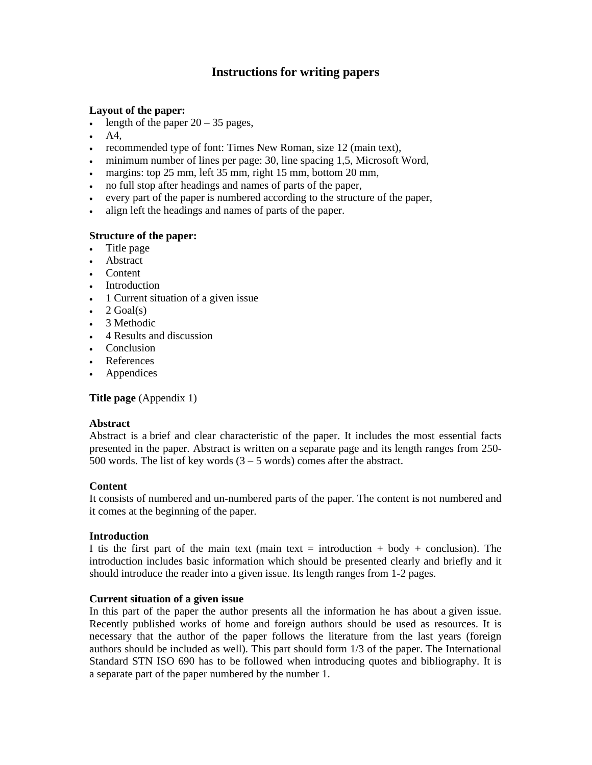# **Instructions for writing papers**

# **Layout of the paper:**

- length of the paper  $20 35$  pages,
- A4.
- recommended type of font: Times New Roman, size 12 (main text),
- minimum number of lines per page: 30, line spacing 1,5, Microsoft Word,
- margins: top 25 mm, left 35 mm, right 15 mm, bottom 20 mm,
- no full stop after headings and names of parts of the paper,
- every part of the paper is numbered according to the structure of the paper,
- align left the headings and names of parts of the paper.

# **Structure of the paper:**

- Title page
- Abstract
- Content
- Introduction
- 1 Current situation of a given issue
- $\bullet$  2 Goal(s)
- 3 Methodic
- 4 Results and discussion
- Conclusion
- References
- Appendices

**Title page** (Appendix 1)

### **Abstract**

Abstract is a brief and clear characteristic of the paper. It includes the most essential facts presented in the paper. Abstract is written on a separate page and its length ranges from 250- 500 words. The list of key words  $(3 - 5$  words) comes after the abstract.

### **Content**

It consists of numbered and un-numbered parts of the paper. The content is not numbered and it comes at the beginning of the paper.

### **Introduction**

I tis the first part of the main text (main text  $=$  introduction  $+$  body  $+$  conclusion). The introduction includes basic information which should be presented clearly and briefly and it should introduce the reader into a given issue. Its length ranges from 1-2 pages.

### **Current situation of a given issue**

In this part of the paper the author presents all the information he has about a given issue. Recently published works of home and foreign authors should be used as resources. It is necessary that the author of the paper follows the literature from the last years (foreign authors should be included as well). This part should form 1/3 of the paper. The International Standard STN ISO 690 has to be followed when introducing quotes and bibliography. It is a separate part of the paper numbered by the number 1.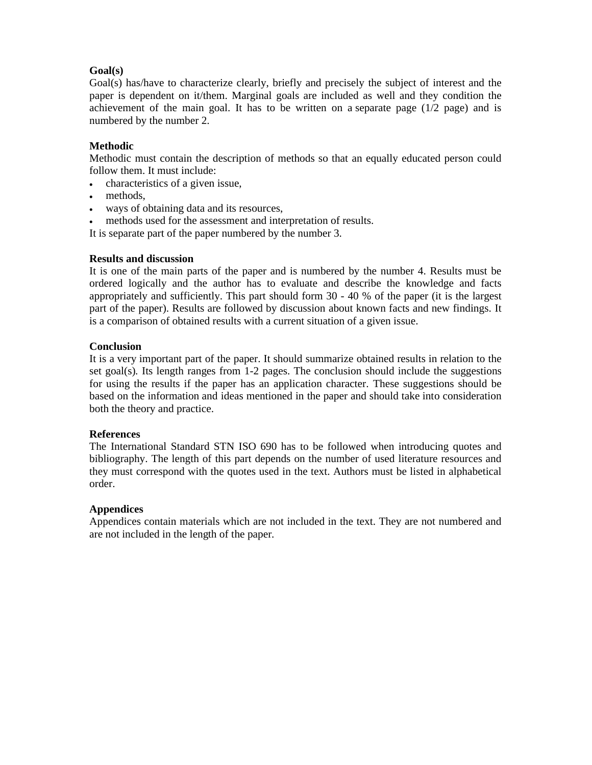# **Goal(s)**

Goal(s) has/have to characterize clearly, briefly and precisely the subject of interest and the paper is dependent on it/them. Marginal goals are included as well and they condition the achievement of the main goal. It has to be written on a separate page  $(1/2$  page) and is numbered by the number 2.

# **Methodic**

Methodic must contain the description of methods so that an equally educated person could follow them. It must include:

- characteristics of a given issue,
- methods.
- ways of obtaining data and its resources,
- methods used for the assessment and interpretation of results.

It is separate part of the paper numbered by the number 3.

### **Results and discussion**

It is one of the main parts of the paper and is numbered by the number 4. Results must be ordered logically and the author has to evaluate and describe the knowledge and facts appropriately and sufficiently. This part should form 30 - 40 % of the paper (it is the largest part of the paper). Results are followed by discussion about known facts and new findings. It is a comparison of obtained results with a current situation of a given issue.

### **Conclusion**

It is a very important part of the paper. It should summarize obtained results in relation to the set goal(s). Its length ranges from 1-2 pages. The conclusion should include the suggestions for using the results if the paper has an application character. These suggestions should be based on the information and ideas mentioned in the paper and should take into consideration both the theory and practice.

### **References**

The International Standard STN ISO 690 has to be followed when introducing quotes and bibliography. The length of this part depends on the number of used literature resources and they must correspond with the quotes used in the text. Authors must be listed in alphabetical order.

# **Appendices**

Appendices contain materials which are not included in the text. They are not numbered and are not included in the length of the paper.